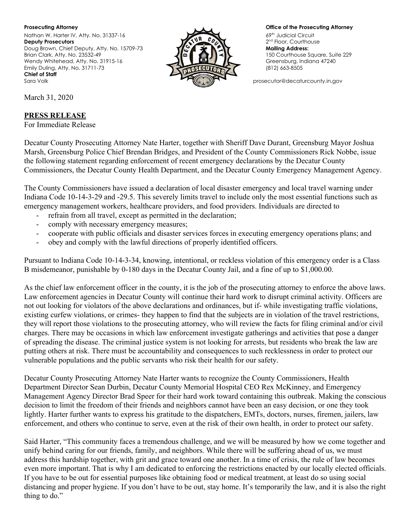**Prosecuting Attorney Office of the Prosecuting Attorney** Nathan W. Harter IV, Atty. No. 31337-16 **Deputy Prosecutors** Doug Brown, Chief Deputy, Atty. No. 15709-73 **Mailing Address:**<br>Brian Clark, Atty. No. 23532-49 **Mailing** Address: Wendy Whitehead, Atty. No. 31915-16 Greensburg, Indiana 47240<br>
Emily Duling, Atty. No. 31711-73 Greensburg, Indiana 47240 Emily Duling, Atty. No. 31711-73 **Chief of Staff** Sara Volk **prosecutor@decaturcounty.in.gov** prosecutor@decaturcounty.in.gov



69<sup>th</sup> Judicial Circuit 2<sup>nd</sup> Floor, Courthouse 150 Courthouse Square, Suite 229

March 31, 2020

## **PRESS RELEASE**

For Immediate Release

Decatur County Prosecuting Attorney Nate Harter, together with Sheriff Dave Durant, Greensburg Mayor Joshua Marsh, Greensburg Police Chief Brendan Bridges, and President of the County Commissioners Rick Nobbe, issue the following statement regarding enforcement of recent emergency declarations by the Decatur County Commissioners, the Decatur County Health Department, and the Decatur County Emergency Management Agency.

The County Commissioners have issued a declaration of local disaster emergency and local travel warning under Indiana Code 10-14-3-29 and -29.5. This severely limits travel to include only the most essential functions such as emergency management workers, healthcare providers, and food providers. Individuals are directed to

- refrain from all travel, except as permitted in the declaration;
- comply with necessary emergency measures;
- cooperate with public officials and disaster services forces in executing emergency operations plans; and
- obey and comply with the lawful directions of properly identified officers.

Pursuant to Indiana Code 10-14-3-34, knowing, intentional, or reckless violation of this emergency order is a Class B misdemeanor, punishable by 0-180 days in the Decatur County Jail, and a fine of up to \$1,000.00.

As the chief law enforcement officer in the county, it is the job of the prosecuting attorney to enforce the above laws. Law enforcement agencies in Decatur County will continue their hard work to disrupt criminal activity. Officers are not out looking for violators of the above declarations and ordinances, but if- while investigating traffic violations, existing curfew violations, or crimes- they happen to find that the subjects are in violation of the travel restrictions, they will report those violations to the prosecuting attorney, who will review the facts for filing criminal and/or civil charges. There may be occasions in which law enforcement investigate gatherings and activities that pose a danger of spreading the disease. The criminal justice system is not looking for arrests, but residents who break the law are putting others at risk. There must be accountability and consequences to such recklessness in order to protect our vulnerable populations and the public servants who risk their health for our safety.

Decatur County Prosecuting Attorney Nate Harter wants to recognize the County Commissioners, Health Department Director Sean Durbin, Decatur County Memorial Hospital CEO Rex McKinney, and Emergency Management Agency Director Brad Speer for their hard work toward containing this outbreak. Making the conscious decision to limit the freedom of their friends and neighbors cannot have been an easy decision, or one they took lightly. Harter further wants to express his gratitude to the dispatchers, EMTs, doctors, nurses, firemen, jailers, law enforcement, and others who continue to serve, even at the risk of their own health, in order to protect our safety.

Said Harter, "This community faces a tremendous challenge, and we will be measured by how we come together and unify behind caring for our friends, family, and neighbors. While there will be suffering ahead of us, we must address this hardship together, with grit and grace toward one another. In a time of crisis, the rule of law becomes even more important. That is why I am dedicated to enforcing the restrictions enacted by our locally elected officials. If you have to be out for essential purposes like obtaining food or medical treatment, at least do so using social distancing and proper hygiene. If you don't have to be out, stay home. It's temporarily the law, and it is also the right thing to do."